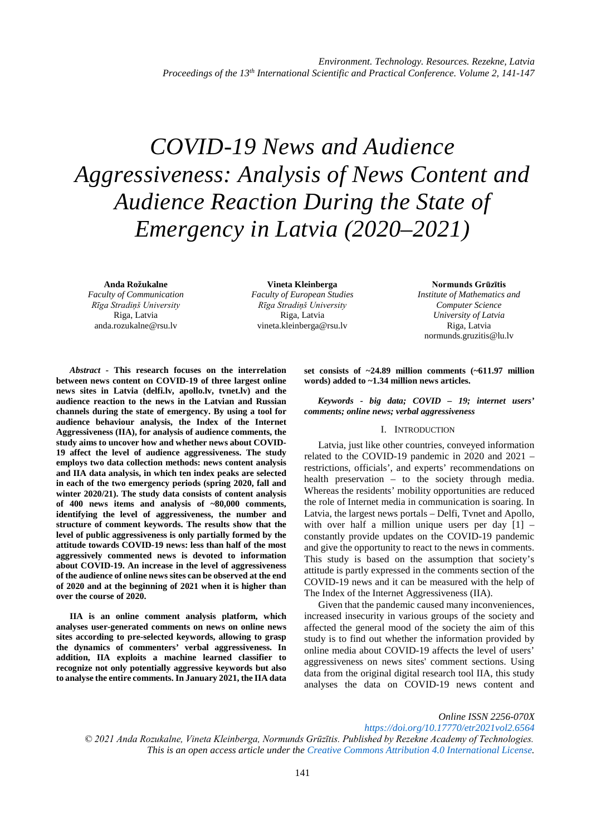# *COVID-19 News and Audience Aggressiveness: Analysis of News Content and Audience Reaction During the State of Emergency in Latvia (2020–2021)*

**Anda Rožukalne** *Faculty of Communication Rīga Stradiņš University* Riga, Latvia anda.rozukalne@rsu.lv

**Vineta Kleinberga** *Faculty of European Studies Rīga Stradiņš University* Riga, Latvia vineta.kleinberga@rsu.lv

**Normunds Grūzītis** *Institute of Mathematics and Computer Science University of Latvia* Riga, Latvia normunds.gruzitis@lu.lv

*Abstract -* **This research focuses on the interrelation between news content on COVID-19 of three largest online news sites in Latvia (delfi.lv, apollo.lv, tvnet.lv) and the audience reaction to the news in the Latvian and Russian channels during the state of emergency. By using a tool for audience behaviour analysis, the Index of the Internet Aggressiveness (IIA), for analysis of audience comments, the study aims to uncover how and whether news about COVID-19 affect the level of audience aggressiveness. The study employs two data collection methods: news content analysis and IIA data analysis, in which ten index peaks are selected in each of the two emergency periods (spring 2020, fall and winter 2020/21). The study data consists of content analysis of 400 news items and analysis of ~80,000 comments, identifying the level of aggressiveness, the number and structure of comment keywords. The results show that the level of public aggressiveness is only partially formed by the attitude towards COVID-19 news: less than half of the most aggressively commented news is devoted to information about COVID-19. An increase in the level of aggressiveness of the audience of online news sites can be observed at the end of 2020 and at the beginning of 2021 when it is higher than over the course of 2020.**

**IIA is an online comment analysis platform, which analyses user-generated comments on news on online news sites according to pre-selected keywords, allowing to grasp the dynamics of commenters' verbal aggressiveness. In addition, IIA exploits a machine learned classifier to recognize not only potentially aggressive keywords but also to analyse the entire comments. In January 2021, the IIA data** 

**set consists of ~24.89 million comments (~611.97 million words) added to ~1.34 million news articles.**

*Keywords - big data; COVID – 19; internet users' comments; online news; verbal aggressiveness*

## I. INTRODUCTION

Latvia, just like other countries, conveyed information related to the COVID-19 pandemic in 2020 and 2021 – restrictions, officials', and experts' recommendations on health preservation – to the society through media. Whereas the residents' mobility opportunities are reduced the role of Internet media in communication is soaring. In Latvia, the largest news portals – Delfi, Tvnet and Apollo, with over half a million unique users per day [1] – constantly provide updates on the COVID-19 pandemic and give the opportunity to react to the news in comments. This study is based on the assumption that society's attitude is partly expressed in the comments section of the COVID-19 news and it can be measured with the help of The Index of the Internet Aggressiveness (IIA).

Given that the pandemic caused many inconveniences, increased insecurity in various groups of the society and affected the general mood of the society the aim of this study is to find out whether the information provided by online media about COVID-19 affects the level of users' aggressiveness on news sites' comment sections. Using data from the original digital research tool IIA, this study analyses the data on COVID-19 news content and

*Online ISSN 2256-070X <https://doi.org/10.17770/etr2021vol2.6564> © 2021 Anda Rozukalne, Vineta Kleinberga, Normunds Grūzītis. Published by Rezekne Academy of Technologies. This is an open access article under th[e Creative Commons Attribution 4.0 International License.](https://creativecommons.org/licenses/by/4.0/)*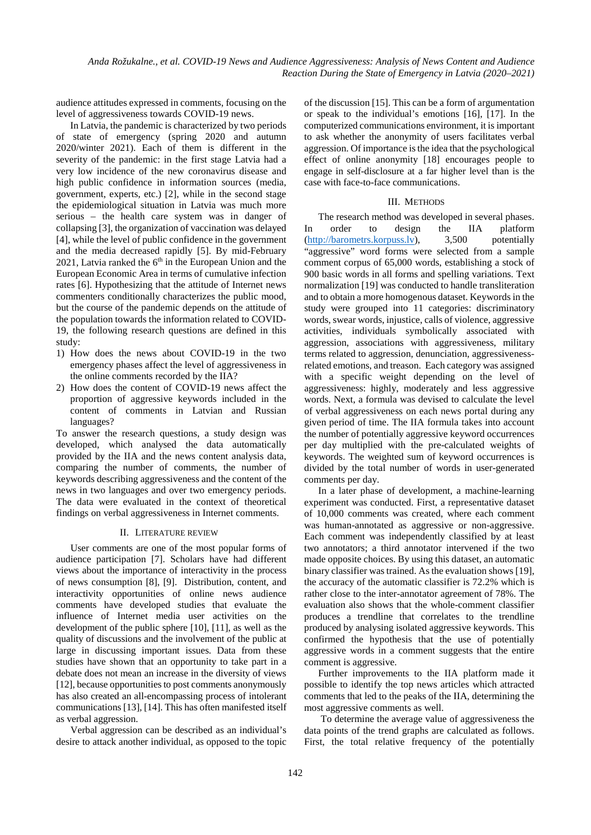audience attitudes expressed in comments, focusing on the level of aggressiveness towards COVID-19 news.

In Latvia, the pandemic is characterized by two periods of state of emergency (spring 2020 and autumn 2020/winter 2021). Each of them is different in the severity of the pandemic: in the first stage Latvia had a very low incidence of the new coronavirus disease and high public confidence in information sources (media, government, experts, etc.) [2], while in the second stage the epidemiological situation in Latvia was much more serious – the health care system was in danger of collapsing [3], the organization of vaccination was delayed [4], while the level of public confidence in the government and the media decreased rapidly [5]. By mid-February 2021, Latvia ranked the 6<sup>th</sup> in the European Union and the European Economic Area in terms of cumulative infection rates [6]. Hypothesizing that the attitude of Internet news commenters conditionally characterizes the public mood, but the course of the pandemic depends on the attitude of the population towards the information related to COVID-19, the following research questions are defined in this study:

- 1) How does the news about COVID-19 in the two emergency phases affect the level of aggressiveness in the online comments recorded by the IIA?
- 2) How does the content of COVID-19 news affect the proportion of aggressive keywords included in the content of comments in Latvian and Russian languages?

To answer the research questions, a study design was developed, which analysed the data automatically provided by the IIA and the news content analysis data, comparing the number of comments, the number of keywords describing aggressiveness and the content of the news in two languages and over two emergency periods. The data were evaluated in the context of theoretical findings on verbal aggressiveness in Internet comments.

#### II. LITERATURE REVIEW

User comments are one of the most popular forms of audience participation [7]. Scholars have had different views about the importance of interactivity in the process of news consumption [8], [9]. Distribution, content, and interactivity opportunities of online news audience comments have developed studies that evaluate the influence of Internet media user activities on the development of the public sphere [10], [11], as well as the quality of discussions and the involvement of the public at large in discussing important issues. Data from these studies have shown that an opportunity to take part in a debate does not mean an increase in the diversity of views [12], because opportunities to post comments anonymously has also created an all-encompassing process of intolerant communications [13], [14]. This has often manifested itself as verbal aggression.

Verbal aggression can be described as an individual's desire to attack another individual, as opposed to the topic of the discussion [15]. This can be a form of argumentation or speak to the individual's emotions [16], [17]. In the computerized communications environment, it is important to ask whether the anonymity of users facilitates verbal aggression. Of importance is the idea that the psychological effect of online anonymity [18] encourages people to engage in self-disclosure at a far higher level than is the case with face-to-face communications.

### III. METHODS

The research method was developed in several phases. In order to design the IIA platform [\(http://barometrs.korpuss.lv\)](http://barometrs.korpuss.lv/), 3,500 potentially "aggressive" word forms were selected from a sample comment corpus of 65,000 words, establishing a stock of 900 basic words in all forms and spelling variations. Text normalization [19] was conducted to handle transliteration and to obtain a more homogenous dataset. Keywords in the study were grouped into 11 categories: discriminatory words, swear words, injustice, calls of violence, aggressive activities, individuals symbolically associated with aggression, associations with aggressiveness, military terms related to aggression, denunciation, aggressivenessrelated emotions, and treason. Each category was assigned with a specific weight depending on the level of aggressiveness: highly, moderately and less aggressive words. Next, a formula was devised to calculate the level of verbal aggressiveness on each news portal during any given period of time. The IIA formula takes into account the number of potentially aggressive keyword occurrences per day multiplied with the pre-calculated weights of keywords. The weighted sum of keyword occurrences is divided by the total number of words in user-generated comments per day.

In a later phase of development, a machine-learning experiment was conducted. First, a representative dataset of 10,000 comments was created, where each comment was human-annotated as aggressive or non-aggressive. Each comment was independently classified by at least two annotators; a third annotator intervened if the two made opposite choices. By using this dataset, an automatic binary classifier was trained. As the evaluation shows [19], the accuracy of the automatic classifier is 72.2% which is rather close to the inter-annotator agreement of 78%. The evaluation also shows that the whole-comment classifier produces a trendline that correlates to the trendline produced by analysing isolated aggressive keywords. This confirmed the hypothesis that the use of potentially aggressive words in a comment suggests that the entire comment is aggressive.

Further improvements to the IIA platform made it possible to identify the top news articles which attracted comments that led to the peaks of the IIA, determining the most aggressive comments as well.

To determine the average value of aggressiveness the data points of the trend graphs are calculated as follows. First, the total relative frequency of the potentially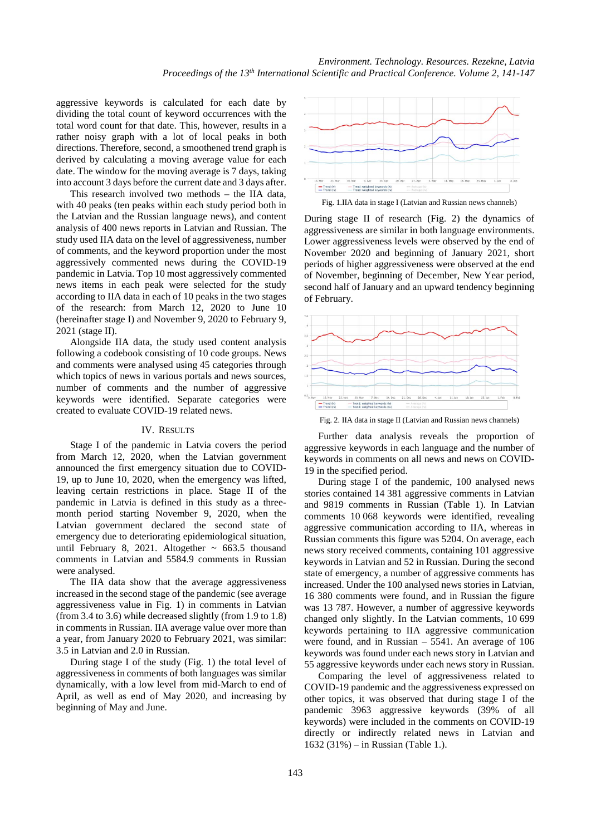aggressive keywords is calculated for each date by dividing the total count of keyword occurrences with the total word count for that date. This, however, results in a rather noisy graph with a lot of local peaks in both directions. Therefore, second, a smoothened trend graph is derived by calculating a moving average value for each date. The window for the moving average is 7 days, taking into account 3 days before the current date and 3 days after.

This research involved two methods – the IIA data, with 40 peaks (ten peaks within each study period both in the Latvian and the Russian language news), and content analysis of 400 news reports in Latvian and Russian. The study used IIA data on the level of aggressiveness, number of comments, and the keyword proportion under the most aggressively commented news during the COVID-19 pandemic in Latvia. Top 10 most aggressively commented news items in each peak were selected for the study according to IIA data in each of 10 peaks in the two stages of the research: from March 12, 2020 to June 10 (hereinafter stage I) and November 9, 2020 to February 9, 2021 (stage II).

Alongside IIA data, the study used content analysis following a codebook consisting of 10 code groups. News and comments were analysed using 45 categories through which topics of news in various portals and news sources, number of comments and the number of aggressive keywords were identified. Separate categories were created to evaluate COVID-19 related news.

#### IV. RESULTS

Stage I of the pandemic in Latvia covers the period from March 12, 2020, when the Latvian government announced the first emergency situation due to COVID-19, up to June 10, 2020, when the emergency was lifted, leaving certain restrictions in place. Stage II of the pandemic in Latvia is defined in this study as a threemonth period starting November 9, 2020, when the Latvian government declared the second state of emergency due to deteriorating epidemiological situation, until February 8, 2021. Altogether  $\sim$  663.5 thousand comments in Latvian and 5584.9 comments in Russian were analysed.

The IIA data show that the average aggressiveness increased in the second stage of the pandemic (see average aggressiveness value in Fig. 1) in comments in Latvian (from 3.4 to 3.6) while decreased slightly (from 1.9 to 1.8) in comments in Russian. IIA average value over more than a year, from January 2020 to February 2021, was similar: 3.5 in Latvian and 2.0 in Russian.

During stage I of the study (Fig. 1) the total level of aggressiveness in comments of both languages was similar dynamically, with a low level from mid-March to end of April, as well as end of May 2020, and increasing by beginning of May and June.



Fig. 1.IIA data in stage I (Latvian and Russian news channels)

During stage II of research (Fig. 2) the dynamics of aggressiveness are similar in both language environments. Lower aggressiveness levels were observed by the end of November 2020 and beginning of January 2021, short periods of higher aggressiveness were observed at the end of November, beginning of December, New Year period, second half of January and an upward tendency beginning of February.



Fig. 2. IIA data in stage II (Latvian and Russian news channels)

Further data analysis reveals the proportion of aggressive keywords in each language and the number of keywords in comments on all news and news on COVID-19 in the specified period.

During stage I of the pandemic, 100 analysed news stories contained 14 381 aggressive comments in Latvian and 9819 comments in Russian (Table 1). In Latvian comments 10 068 keywords were identified, revealing aggressive communication according to IIA, whereas in Russian comments this figure was 5204. On average, each news story received comments, containing 101 aggressive keywords in Latvian and 52 in Russian. During the second state of emergency, a number of aggressive comments has increased. Under the 100 analysed news stories in Latvian, 16 380 comments were found, and in Russian the figure was 13 787. However, a number of aggressive keywords changed only slightly. In the Latvian comments, 10 699 keywords pertaining to IIA aggressive communication were found, and in Russian – 5541. An average of 106 keywords was found under each news story in Latvian and 55 aggressive keywords under each news story in Russian.

Comparing the level of aggressiveness related to COVID-19 pandemic and the aggressiveness expressed on other topics, it was observed that during stage I of the pandemic 3963 aggressive keywords (39% of all keywords) were included in the comments on COVID-19 directly or indirectly related news in Latvian and 1632 (31%) – in Russian (Table 1.).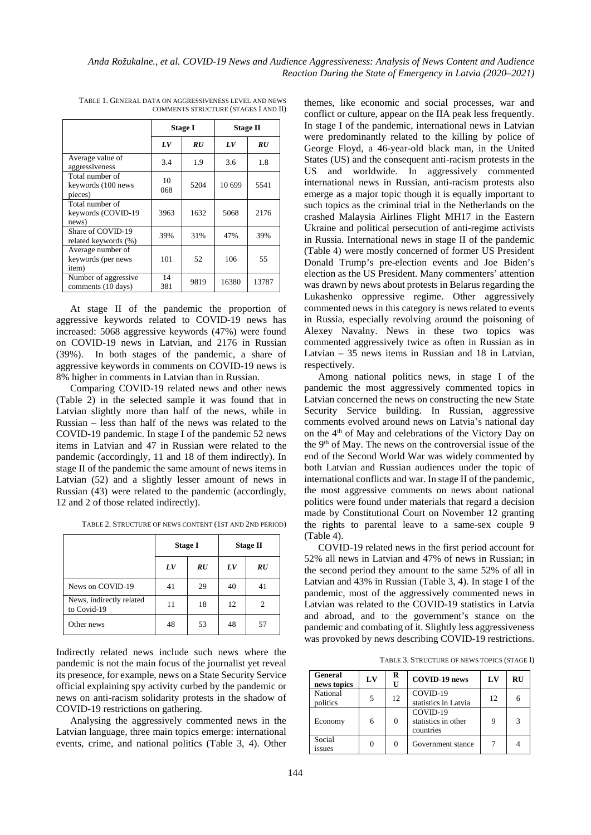|                                                  | <b>Stage I</b> |      | <b>Stage II</b> |       |
|--------------------------------------------------|----------------|------|-----------------|-------|
|                                                  | $_{LV}$        | RU   | $_{LV}$         | RU    |
| Average value of<br>aggressiveness               | 3.4            | 1.9  | 3.6             | 1.8   |
| Total number of<br>keywords (100 news<br>pieces) | 10<br>068      | 5204 | 10 699          | 5541  |
| Total number of<br>keywords (COVID-19<br>news)   | 3963           | 1632 | 5068            | 2176  |
| Share of COVID-19<br>related keywords (%)        | 39%            | 31%  | 47%             | 39%   |
| Average number of<br>keywords (per news<br>item) | 101            | 52   | 106             | 55    |
| Number of aggressive<br>comments (10 days)       | 14<br>381      | 9819 | 16380           | 13787 |

TABLE 1. GENERAL DATA ON AGGRESSIVENESS LEVEL AND NEWS COMMENTS STRUCTURE (STAGES I AND II)

At stage II of the pandemic the proportion of aggressive keywords related to COVID-19 news has increased: 5068 aggressive keywords (47%) were found on COVID-19 news in Latvian, and 2176 in Russian (39%). In both stages of the pandemic, a share of aggressive keywords in comments on COVID-19 news is 8% higher in comments in Latvian than in Russian.

Comparing COVID-19 related news and other news (Table 2) in the selected sample it was found that in Latvian slightly more than half of the news, while in Russian – less than half of the news was related to the COVID-19 pandemic. In stage I of the pandemic 52 news items in Latvian and 47 in Russian were related to the pandemic (accordingly, 11 and 18 of them indirectly). In stage II of the pandemic the same amount of news items in Latvian (52) and a slightly lesser amount of news in Russian (43) were related to the pandemic (accordingly, 12 and 2 of those related indirectly).

|                                         | <b>Stage I</b> |    | <b>Stage II</b> |    |
|-----------------------------------------|----------------|----|-----------------|----|
|                                         | LV             | RU | LV              | RU |
| News on COVID-19                        | 41             | 29 | 40              | 41 |
| News, indirectly related<br>to Covid-19 | 11             | 18 | 12              | 2  |
| Other news                              | 48             | 53 | 48              | 57 |

TABLE 2. STRUCTURE OF NEWS CONTENT (1ST AND 2ND PERIOD)

Indirectly related news include such news where the pandemic is not the main focus of the journalist yet reveal its presence, for example, news on a State Security Service official explaining spy activity curbed by the pandemic or news on anti-racism solidarity protests in the shadow of COVID-19 restrictions on gathering.

Analysing the aggressively commented news in the Latvian language, three main topics emerge: international events, crime, and national politics (Table 3, 4). Other

themes, like economic and social processes, war and conflict or culture, appear on the IIA peak less frequently. In stage I of the pandemic, international news in Latvian were predominantly related to the killing by police of George Floyd, a 46-year-old black man, in the United States (US) and the consequent anti-racism protests in the US and worldwide. In aggressively commented international news in Russian, anti-racism protests also emerge as a major topic though it is equally important to such topics as the criminal trial in the Netherlands on the crashed Malaysia Airlines Flight MH17 in the Eastern Ukraine and political persecution of anti-regime activists in Russia. International news in stage II of the pandemic (Table 4) were mostly concerned of former US President Donald Trump's pre-election events and Joe Biden's election as the US President. Many commenters' attention was drawn by news about protests in Belarus regarding the Lukashenko oppressive regime. Other aggressively commented news in this category is news related to events in Russia, especially revolving around the poisoning of Alexey Navalny. News in these two topics was commented aggressively twice as often in Russian as in Latvian – 35 news items in Russian and 18 in Latvian, respectively.

Among national politics news, in stage I of the pandemic the most aggressively commented topics in Latvian concerned the news on constructing the new State Security Service building. In Russian, aggressive comments evolved around news on Latvia's national day on the 4<sup>th</sup> of May and celebrations of the Victory Day on the 9<sup>th</sup> of May. The news on the controversial issue of the end of the Second World War was widely commented by both Latvian and Russian audiences under the topic of international conflicts and war. In stage II of the pandemic, the most aggressive comments on news about national politics were found under materials that regard a decision made by Constitutional Court on November 12 granting the rights to parental leave to a same-sex couple 9 (Table 4).

COVID-19 related news in the first period account for 52% all news in Latvian and 47% of news in Russian; in the second period they amount to the same 52% of all in Latvian and 43% in Russian (Table 3, 4). In stage I of the pandemic, most of the aggressively commented news in Latvian was related to the COVID-19 statistics in Latvia and abroad, and to the government's stance on the pandemic and combating of it. Slightly less aggressiveness was provoked by news describing COVID-19 restrictions.

TABLE 3. STRUCTURE OF NEWS TOPICS (STAGE I)

| <b>General</b><br>news topics | LV | R<br>U   | <b>COVID-19 news</b>                         | LV | <b>RU</b> |
|-------------------------------|----|----------|----------------------------------------------|----|-----------|
| National<br>politics          | 5  | 12       | COVID-19<br>statistics in Latvia             | 12 |           |
| Economy                       | 6  | $\Omega$ | COVID-19<br>statistics in other<br>countries | Q  |           |
| Social<br>issues              |    | $\Omega$ | Government stance                            |    |           |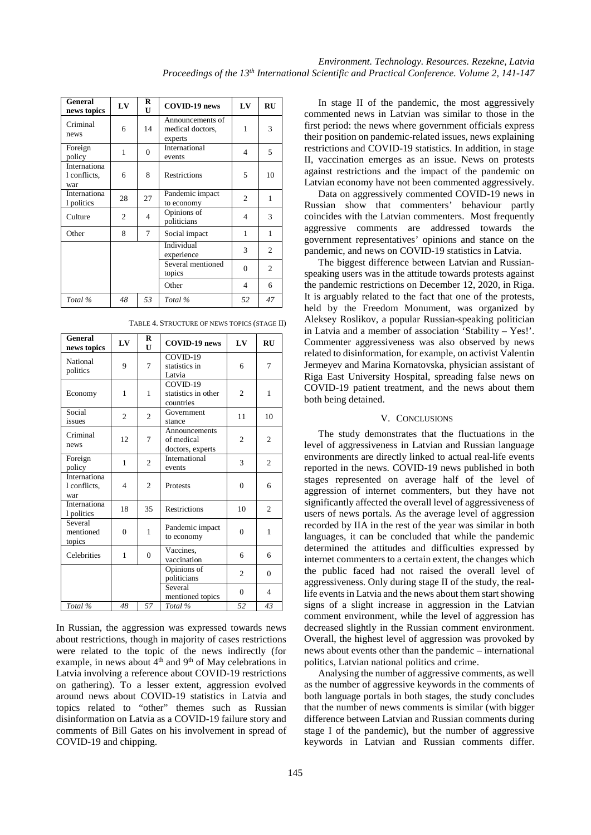| General<br>news topics              | LV | R<br>U   | COVID-19 news                                   | $L$ V          | RU |
|-------------------------------------|----|----------|-------------------------------------------------|----------------|----|
| Criminal<br>news                    | 6  | 14       | Announcements of<br>medical doctors,<br>experts | 1              | 3  |
| Foreign<br>policy                   | 1  | $\Omega$ | International<br>events                         | 4              | 5  |
| Internationa<br>l conflicts,<br>war | 6  | 8        | <b>Restrictions</b>                             | 5              | 10 |
| Internationa<br>1 politics          | 28 | 27       | Pandemic impact<br>to economy                   | $\overline{2}$ | 1  |
| Culture                             | 2  | 4        | Opinions of<br>politicians                      | 4              | 3  |
| Other                               | 8  | 7        | Social impact                                   | 1              | 1  |
|                                     |    |          | Individual<br>experience                        | 3              | 2  |
|                                     |    |          | Several mentioned<br>topics                     | $\Omega$       | 2  |
|                                     |    |          | Other                                           | 4              | 6  |
| Total %                             | 48 | 53       | Total %                                         | 52             | 47 |

TABLE 4. STRUCTURE OF NEWS TOPICS (STAGE II)

| General<br>news topics              | $L$ V          | R<br>U         | COVID-19 news                                   | $L$ V          | <b>RU</b>                |
|-------------------------------------|----------------|----------------|-------------------------------------------------|----------------|--------------------------|
| National<br>politics                | 9              | 7              | COVID-19<br>statistics in<br>Latvia             | 6              | 7                        |
| Economy                             | 1              | 1              | COVID-19<br>statistics in other<br>countries    | $\overline{c}$ | $\mathbf{1}$             |
| Social<br>issues                    | $\overline{c}$ | $\overline{c}$ | Government<br>stance                            | 11             | 10                       |
| Criminal<br>news                    | 12             | 7              | Announcements<br>of medical<br>doctors, experts | $\overline{c}$ | $\overline{c}$           |
| Foreign<br>policy                   | 1              | $\overline{c}$ | International<br>events                         | 3              | $\overline{c}$           |
| Internationa<br>1 conflicts,<br>war | 4              | $\overline{c}$ | Protests                                        | $\theta$       | 6                        |
| Internationa<br>1 politics          | 18             | 35             | <b>Restrictions</b>                             | 10             | $\overline{c}$           |
| Several<br>mentioned<br>topics      | $\theta$       | $\mathbf{1}$   | Pandemic impact<br>to economy                   | $\Omega$       | 1                        |
| Celebrities                         | 1              | $\mathbf{0}$   | Vaccines,<br>vaccination                        | 6              | 6                        |
|                                     |                |                | Opinions of<br>politicians                      | $\overline{c}$ | $\theta$                 |
|                                     |                |                | Several<br>mentioned topics                     | $\Omega$       | $\overline{\mathcal{A}}$ |
| Total %                             | 48             | 57             | Total %                                         | 52             | 43                       |

In Russian, the aggression was expressed towards news about restrictions, though in majority of cases restrictions were related to the topic of the news indirectly (for example, in news about  $4<sup>th</sup>$  and 9<sup>th</sup> of May celebrations in Latvia involving a reference about COVID-19 restrictions on gathering). To a lesser extent, aggression evolved around news about COVID-19 statistics in Latvia and topics related to "other" themes such as Russian disinformation on Latvia as a COVID-19 failure story and comments of Bill Gates on his involvement in spread of COVID-19 and chipping.

In stage II of the pandemic, the most aggressively commented news in Latvian was similar to those in the first period: the news where government officials express their position on pandemic-related issues, news explaining restrictions and COVID-19 statistics. In addition, in stage II, vaccination emerges as an issue. News on protests against restrictions and the impact of the pandemic on Latvian economy have not been commented aggressively.

Data on aggressively commented COVID-19 news in Russian show that commenters' behaviour partly coincides with the Latvian commenters. Most frequently aggressive comments are addressed towards the government representatives' opinions and stance on the pandemic, and news on COVID-19 statistics in Latvia.

The biggest difference between Latvian and Russianspeaking users was in the attitude towards protests against the pandemic restrictions on December 12, 2020, in Riga. It is arguably related to the fact that one of the protests, held by the Freedom Monument, was organized by Aleksey Roslikov, a popular Russian-speaking politician in Latvia and a member of association 'Stability – Yes!'. Commenter aggressiveness was also observed by news related to disinformation, for example, on activist Valentin Jermeyev and Marina Kornatovska, physician assistant of Riga East University Hospital, spreading false news on COVID-19 patient treatment, and the news about them both being detained.

## V. CONCLUSIONS

The study demonstrates that the fluctuations in the level of aggressiveness in Latvian and Russian language environments are directly linked to actual real-life events reported in the news. COVID-19 news published in both stages represented on average half of the level of aggression of internet commenters, but they have not significantly affected the overall level of aggressiveness of users of news portals. As the average level of aggression recorded by IIA in the rest of the year was similar in both languages, it can be concluded that while the pandemic determined the attitudes and difficulties expressed by internet commenters to a certain extent, the changes which the public faced had not raised the overall level of aggressiveness. Only during stage II of the study, the reallife events in Latvia and the news about them start showing signs of a slight increase in aggression in the Latvian comment environment, while the level of aggression has decreased slightly in the Russian comment environment. Overall, the highest level of aggression was provoked by news about events other than the pandemic – international politics, Latvian national politics and crime.

Analysing the number of aggressive comments, as well as the number of aggressive keywords in the comments of both language portals in both stages, the study concludes that the number of news comments is similar (with bigger difference between Latvian and Russian comments during stage I of the pandemic), but the number of aggressive keywords in Latvian and Russian comments differ.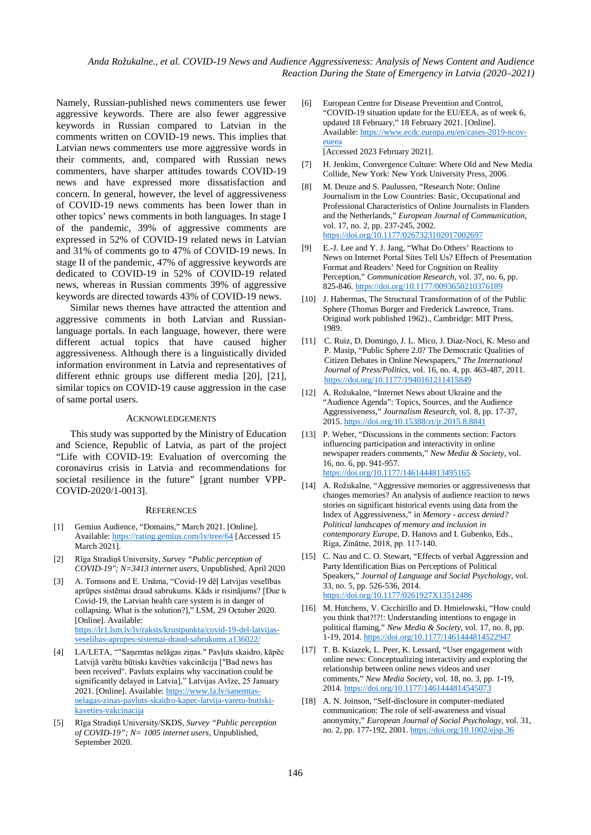*Anda Rožukalne., et al. COVID-19 News and Audience Aggressiveness: Analysis of News Content and Audience Reaction During the State of Emergency in Latvia (2020–2021)*

Namely, Russian-published news commenters use fewer aggressive keywords. There are also fewer aggressive keywords in Russian compared to Latvian in the comments written on COVID-19 news. This implies that Latvian news commenters use more aggressive words in their comments, and, compared with Russian news commenters, have sharper attitudes towards COVID-19 news and have expressed more dissatisfaction and concern. In general, however, the level of aggressiveness of COVID-19 news comments has been lower than in other topics' news comments in both languages. In stage I of the pandemic, 39% of aggressive comments are expressed in 52% of COVID-19 related news in Latvian and 31% of comments go to 47% of COVID-19 news. In stage II of the pandemic, 47% of aggressive keywords are dedicated to COVID-19 in 52% of COVID-19 related news, whereas in Russian comments 39% of aggressive keywords are directed towards 43% of COVID-19 news.

Similar news themes have attracted the attention and aggressive comments in both Latvian and Russianlanguage portals. In each language, however, there were different actual topics that have caused higher aggressiveness. Although there is a linguistically divided information environment in Latvia and representatives of different ethnic groups use different media [20], [21], similar topics on COVID-19 cause aggression in the case of same portal users.

### ACKNOWLEDGEMENTS

This study was supported by the Ministry of Education and Science, Republic of Latvia, as part of the project "Life with COVID-19: Evaluation of overcoming the coronavirus crisis in Latvia and recommendations for societal resilience in the future" [grant number VPP-COVID-2020/1-0013].

#### **REFERENCES**

- [1] Gemius Audience, "Domains," March 2021. [Online]. Available:<https://rating.gemius.com/lv/tree/64> [Accessed 15 March 2021].
- [2] Rīga Stradiņš University, *Survey "Public perception of COVID-19"; N=3413 internet users,* Unpublished, April 2020
- [3] A. Tomsons and E. Unāma, "Covid-19 dēļ Latvijas veselības aprūpes sistēmai draud sabrukums. Kāds ir risinājums? [Due to Covid-19, the Latvian health care system is in danger of collapsing. What is the solution?]," LSM, 29 October 2020. [Online]. Available: [https://lr1.lsm.lv/lv/raksts/krustpunkta/covid-19-del-latvijas](https://lr1.lsm.lv/lv/raksts/krustpunkta/covid-19-del-latvijas-veselibas-aprupes-sistemai-draud-sabrukums.a136022/)[veselibas-aprupes-sistemai-draud-sabrukums.a136022/](https://lr1.lsm.lv/lv/raksts/krustpunkta/covid-19-del-latvijas-veselibas-aprupes-sistemai-draud-sabrukums.a136022/)
- [4] LA/LETA, ""Saņemtas nelāgas ziņas." Pavļuts skaidro, kāpēc Latvijā varētu būtiski kavēties vakcinācija ["Bad news has been received". Pavluts explains why vaccination could be significantly delayed in Latvia]," Latvijas Avīze, 25 January 2021. [Online]. Available[: https://www.la.lv/sanemtas](https://www.la.lv/sanemtas-nelagas-zinas-pavluts-skaidro-kapec-latvija-varetu-butiski-kaveties-vakcinacija)[nelagas-zinas-pavluts-skaidro-kapec-latvija-varetu-butiski](https://www.la.lv/sanemtas-nelagas-zinas-pavluts-skaidro-kapec-latvija-varetu-butiski-kaveties-vakcinacija)[kaveties-vakcinacija](https://www.la.lv/sanemtas-nelagas-zinas-pavluts-skaidro-kapec-latvija-varetu-butiski-kaveties-vakcinacija)
- [5] Rīga Stradiņš University/SKDS, *Survey "Public perception of COVID-19"; N= 1005 internet users,* Unpublished, September 2020.
- [6] European Centre for Disease Prevention and Control, "COVID-19 situation update for the EU/EEA, as of week 6, updated 18 February," 18 February 2021. [Online]. Available: [https://www.ecdc.europa.eu/en/cases-2019-ncov](https://www.ecdc.europa.eu/en/cases-2019-ncov-eueea)[eueea](https://www.ecdc.europa.eu/en/cases-2019-ncov-eueea) [Accessed 2023 February 2021].
- [7] H. Jenkins, Convergence Culture: Where Old and New Media Collide, New York: New York University Press, 2006.
- [8] M. Deuze and S. Paulussen, "Research Note: Online Journalism in the Low Countries: Basic, Occupational and Professional Characteristics of Online Journalists in Flanders and the Netherlands," *European Journal of Communication,*  vol. 17, no. 2, pp. 237-245, 2002. <https://doi.org/10.1177/0267323102017002697>
- [9] E.-J. Lee and Y. J. Jang, "What Do Others' Reactions to News on Internet Portal Sites Tell Us? Effects of Presentation Format and Readers' Need for Cognition on Reality Perception," *Communication Research,* vol. 37, no. 6, pp. 825-846[. https://doi.org/10.1177/0093650210376189](https://doi.org/10.1177/0093650210376189)
- [10] J. Habermas, The Structural Transformation of of the Public Sphere (Thomas Burger and Frederick Lawrence, Trans. Original work published 1962)., Cambridge: MIT Press, 1989.
- [11] C. Ruiz, D. Domingo, J. L. Mico, J. Diaz-Noci, K. Meso and P. Masip, "Public Sphere 2.0? The Democratic Qualities of Citizen Debates in Online Newspapers," *The International Journal of Press/Politics,* vol. 16, no. 4, pp. 463-487, 2011. <https://doi.org/10.1177/1940161211415849>
- [12] A. Rožukalne, "Internet News about Ukraine and the "Audience Agenda": Topics, Sources, and the Audience Aggressiveness," *Journalism Research,* vol. 8, pp. 17-37, 2015[. https://doi.org/10.15388/zt/jr.2015.8.8841](https://doi.org/10.15388/zt/jr.2015.8.8841)
- [13] P. Weber, "Discussions in the comments section: Factors" influencing participation and interactivity in online newspaper readers comments," *New Media & Society,* vol. 16, no. 6, pp. 941-957. <https://doi.org/10.1177/1461444813495165>
- [14] A. Rožukalne, "Aggressive memories or aggressivenesss that changes memories? An analysis of audience reaction to news stories on significant historical events using data from the Index of Aggressiveness," in *Memory - access denied? Political landscapes of memory and inclusion in contemporary Europe*, D. Hanovs and I. Gubenko, Eds., Riga, Zinātne, 2018, pp. 117-140.
- [15] C. Nau and C. O. Stewart, "Effects of verbal Aggression and Party Identification Bias on Perceptions of Political Speakers," *Journal of Language and Social Psychology,* vol. 33, no. 5, pp. 526-536, 2014. <https://doi.org/10.1177/0261927X13512486>
- [16] M. Hutchens, V. Cicchirillo and D. Hmielowski, "How could you think that?!?!: Understanding intentions to engage in political flaming," *New Media & Society,* vol. 17, no. 8, pp. 1-19, 2014. <https://doi.org/10.1177/1461444814522947>
- [17] T. B. Ksiazek, L. Peer, K. Lessard, "User engagement with online news: Conceptualizing interactivity and exploring the relationship between online news videos and user comments," *New Media Society,* vol. 18, no. 3, pp. 1-19, 2014. <https://doi.org/10.1177/1461444814545073>
- [18] A. N. Joinson, "Self-disclosure in computer-mediated communication: The role of self-awareness and visual anonymity," *European Journal of Social Psychology,* vol. 31, no. 2, pp. 177-192, 2001[. https://doi.org/10.1002/ejsp.36](https://doi.org/10.1002/ejsp.36)